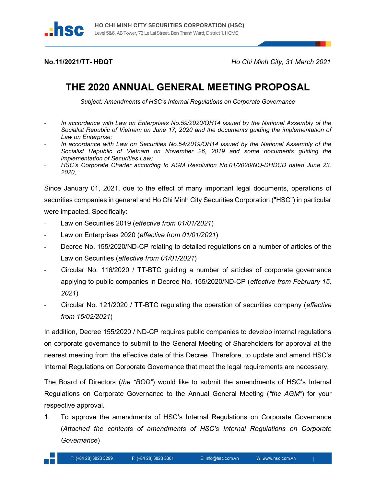

No.11/2021/TT- HĐQT Ho Chi Minh City, 31 March 2021

## THE 2020 ANNUAL GENERAL MEETING PROPOSAL

Subject: Amendments of HSC's Internal Regulations on Corporate Governance

- In accordance with Law on Enterprises No.59/2020/QH14 issued by the National Assembly of the Socialist Republic of Vietnam on June 17, 2020 and the documents guiding the implementation of Law on Enterprise;
- In accordance with Law on Securities No.54/2019/QH14 issued by the National Assembly of the Socialist Republic of Vietnam on November 26, 2019 and some documents guiding the implementation of Securities Law;
- HSC's Corporate Charter according to AGM Resolution No.01/2020/NQ-DHĐCĐ dated June 23, 2020,

Since January 01, 2021, due to the effect of many important legal documents, operations of securities companies in general and Ho Chi Minh City Securities Corporation ("HSC") in particular were impacted. Specifically:

- Law on Securities 2019 (effective from 01/01/2021)
- Law on Enterprises 2020 (*effective from 01/01/2021*)
- Decree No. 155/2020/ND-CP relating to detailed regulations on a number of articles of the Law on Securities (effective from 01/01/2021)
- Circular No. 116/2020 / TT-BTC guiding a number of articles of corporate governance applying to public companies in Decree No. 155/2020/ND-CP (effective from February 15, 2021)
- Circular No. 121/2020 / TT-BTC regulating the operation of securities company (effective from 15/02/2021)

In addition, Decree 155/2020 / ND-CP requires public companies to develop internal regulations on corporate governance to submit to the General Meeting of Shareholders for approval at the nearest meeting from the effective date of this Decree. Therefore, to update and amend HSC's Internal Regulations on Corporate Governance that meet the legal requirements are necessary.

The Board of Directors (the "BOD") would like to submit the amendments of HSC's Internal Regulations on Corporate Governance to the Annual General Meeting ("the AGM") for your respective approval.

1. To approve the amendments of HSC's Internal Regulations on Corporate Governance (Attached the contents of amendments of HSC's Internal Regulations on Corporate Governance)